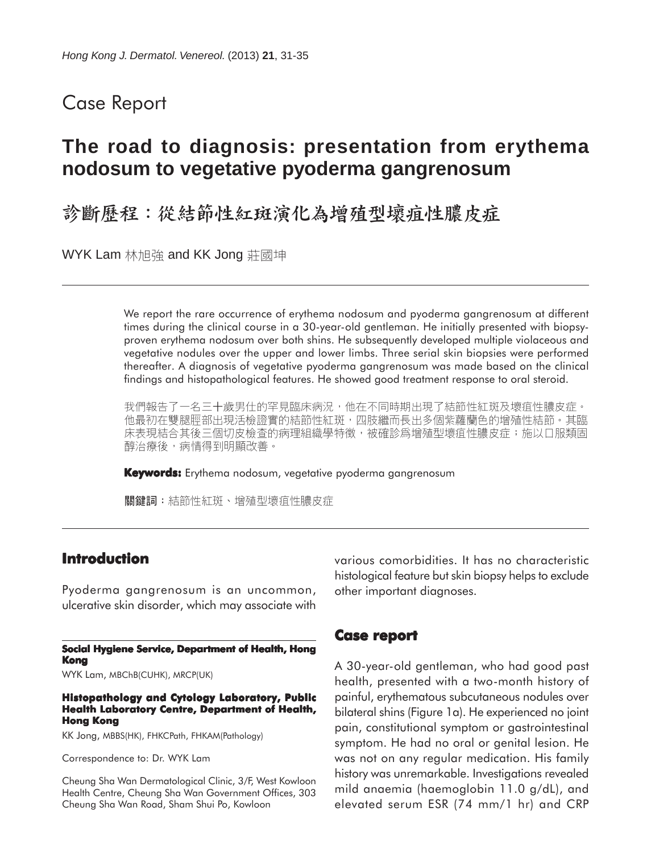## Case Report

# **The road to diagnosis: presentation from erythema nodosum to vegetative pyoderma gangrenosum**

## 診斷歷程:從結節性紅斑演化為增殖型壞疽性膿皮症

WYK Lam 林旭強 and KK Jong 莊國坤

We report the rare occurrence of erythema nodosum and pyoderma gangrenosum at different times during the clinical course in a 30-year-old gentleman. He initially presented with biopsyproven erythema nodosum over both shins. He subsequently developed multiple violaceous and vegetative nodules over the upper and lower limbs. Three serial skin biopsies were performed thereafter. A diagnosis of vegetative pyoderma gangrenosum was made based on the clinical findings and histopathological features. He showed good treatment response to oral steroid.

我們報告了一名三十歲男仕的罕見臨床病況,他在不同時期出現了結節性紅斑及壞疽性膿皮症。 他最初在雙腿脛部出現活檢證實的結節性紅斑,四肢繼而長出多個紫蘿蘭色的增殖性結節。其臨 床表現結合其後三個切皮檢查的病理組織學特徵,被確診爲增殖型壞疽性膿皮症;施以口服類固 醇治療後,病情得到明顯改善。

**Keywords:** Erythema nodosum, vegetative pyoderma gangrenosum

關鍵詞:結節性紅斑、增殖型壞疽性膿皮症

### **Introduction**

Pyoderma gangrenosum is an uncommon, ulcerative skin disorder, which may associate with

#### **Social Hygiene Service, Department of Health, Hong Kong**

WYK Lam, MBChB(CUHK), MRCP(UK)

**Histopathology and Cytology Laboratory, Public Health Laboratory Centre, Department of Health, Hong Kong**

KK Jong, MBBS(HK), FHKCPath, FHKAM(Pathology)

Correspondence to: Dr. WYK Lam

Cheung Sha Wan Dermatological Clinic, 3/F, West Kowloon Health Centre, Cheung Sha Wan Government Offices, 303 Cheung Sha Wan Road, Sham Shui Po, Kowloon

various comorbidities. It has no characteristic histological feature but skin biopsy helps to exclude other important diagnoses.

## **Case report**

A 30-year-old gentleman, who had good past health, presented with a two-month history of painful, erythematous subcutaneous nodules over bilateral shins (Figure 1a). He experienced no joint pain, constitutional symptom or gastrointestinal symptom. He had no oral or genital lesion. He was not on any regular medication. His family history was unremarkable. Investigations revealed mild anaemia (haemoglobin 11.0 g/dL), and elevated serum ESR (74 mm/1 hr) and CRP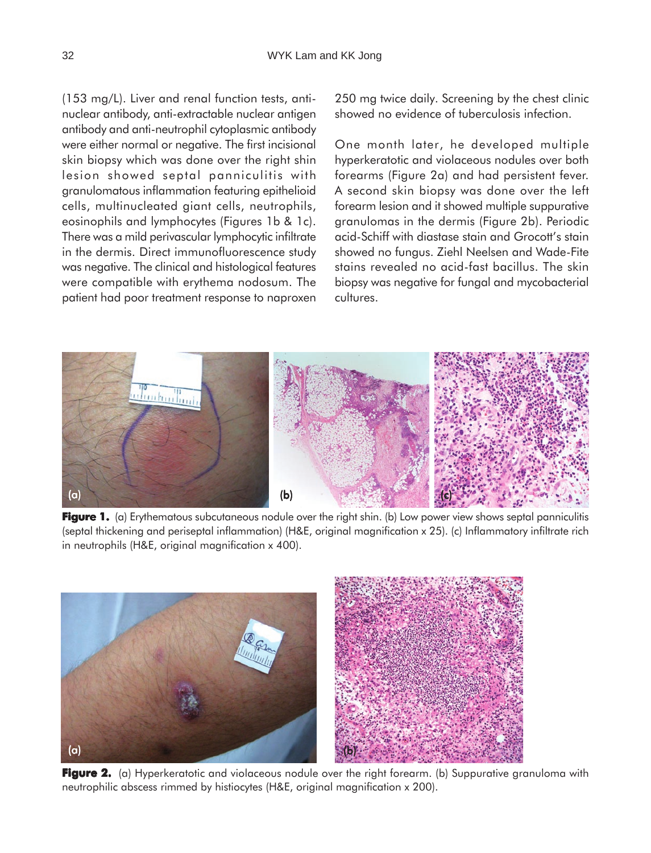(153 mg/L). Liver and renal function tests, antinuclear antibody, anti-extractable nuclear antigen antibody and anti-neutrophil cytoplasmic antibody were either normal or negative. The first incisional skin biopsy which was done over the right shin lesion showed septal panniculitis with granulomatous inflammation featuring epithelioid cells, multinucleated giant cells, neutrophils, eosinophils and lymphocytes (Figures 1b & 1c). There was a mild perivascular lymphocytic infiltrate in the dermis. Direct immunofluorescence study was negative. The clinical and histological features were compatible with erythema nodosum. The patient had poor treatment response to naproxen

250 mg twice daily. Screening by the chest clinic showed no evidence of tuberculosis infection.

One month later, he developed multiple hyperkeratotic and violaceous nodules over both forearms (Figure 2a) and had persistent fever. A second skin biopsy was done over the left forearm lesion and it showed multiple suppurative granulomas in the dermis (Figure 2b). Periodic acid-Schiff with diastase stain and Grocott's stain showed no fungus. Ziehl Neelsen and Wade-Fite stains revealed no acid-fast bacillus. The skin biopsy was negative for fungal and mycobacterial cultures.



**Figure 1.** (a) Erythematous subcutaneous nodule over the right shin. (b) Low power view shows septal panniculitis (septal thickening and periseptal inflammation) (H&E, original magnification x 25). (c) Inflammatory infiltrate rich in neutrophils (H&E, original magnification x 400).



**Figure 2.** (a) Hyperkeratotic and violaceous nodule over the right forearm. (b) Suppurative granuloma with neutrophilic abscess rimmed by histiocytes (H&E, original magnification x 200).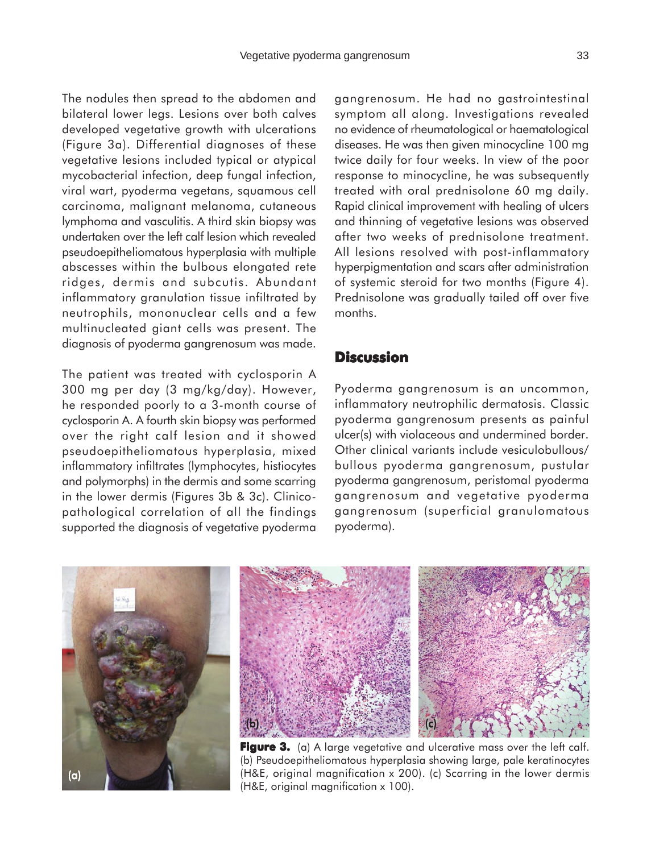The nodules then spread to the abdomen and bilateral lower legs. Lesions over both calves developed vegetative growth with ulcerations (Figure 3a). Differential diagnoses of these vegetative lesions included typical or atypical mycobacterial infection, deep fungal infection, viral wart, pyoderma vegetans, squamous cell carcinoma, malignant melanoma, cutaneous lymphoma and vasculitis. A third skin biopsy was undertaken over the left calf lesion which revealed pseudoepitheliomatous hyperplasia with multiple abscesses within the bulbous elongated rete ridges, dermis and subcutis. Abundant inflammatory granulation tissue infiltrated by neutrophils, mononuclear cells and a few multinucleated giant cells was present. The diagnosis of pyoderma gangrenosum was made.

The patient was treated with cyclosporin A 300 mg per day (3 mg/kg/day). However, he responded poorly to a 3-month course of cyclosporin A. A fourth skin biopsy was performed over the right calf lesion and it showed pseudoepitheliomatous hyperplasia, mixed inflammatory infiltrates (lymphocytes, histiocytes and polymorphs) in the dermis and some scarring in the lower dermis (Figures 3b & 3c). Clinicopathological correlation of all the findings supported the diagnosis of vegetative pyoderma

gangrenosum. He had no gastrointestinal symptom all along. Investigations revealed no evidence of rheumatological or haematological diseases. He was then given minocycline 100 mg twice daily for four weeks. In view of the poor response to minocycline, he was subsequently treated with oral prednisolone 60 mg daily. Rapid clinical improvement with healing of ulcers and thinning of vegetative lesions was observed after two weeks of prednisolone treatment. All lesions resolved with post-inflammatory hyperpigmentation and scars after administration of systemic steroid for two months (Figure 4). Prednisolone was gradually tailed off over five months.

## **Discussion**

Pyoderma gangrenosum is an uncommon, inflammatory neutrophilic dermatosis. Classic pyoderma gangrenosum presents as painful ulcer(s) with violaceous and undermined border. Other clinical variants include vesiculobullous/ bullous pyoderma gangrenosum, pustular pyoderma gangrenosum, peristomal pyoderma gangrenosum and vegetative pyoderma gangrenosum (superficial granulomatous pyoderma).





**Figure 3.** (a) A large vegetative and ulcerative mass over the left calf. (b) Pseudoepitheliomatous hyperplasia showing large, pale keratinocytes (H&E, original magnification x 200). (c) Scarring in the lower dermis (H&E, original magnification x 100).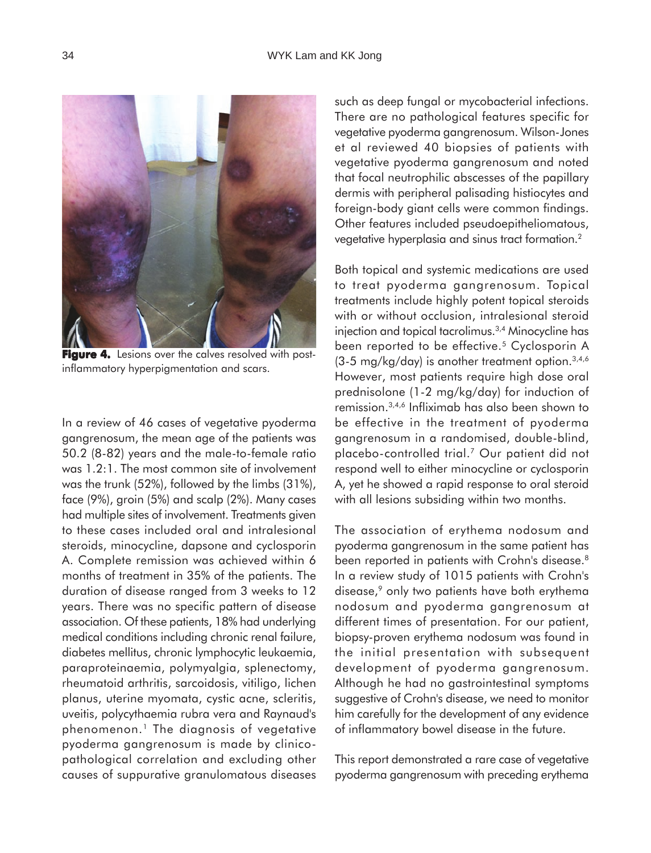

**Figure 4.** Lesions over the calves resolved with postinflammatory hyperpigmentation and scars.

In a review of 46 cases of vegetative pyoderma gangrenosum, the mean age of the patients was 50.2 (8-82) years and the male-to-female ratio was 1.2:1. The most common site of involvement was the trunk (52%), followed by the limbs (31%), face (9%), groin (5%) and scalp (2%). Many cases had multiple sites of involvement. Treatments given to these cases included oral and intralesional steroids, minocycline, dapsone and cyclosporin A. Complete remission was achieved within 6 months of treatment in 35% of the patients. The duration of disease ranged from 3 weeks to 12 years. There was no specific pattern of disease association. Of these patients, 18% had underlying medical conditions including chronic renal failure, diabetes mellitus, chronic lymphocytic leukaemia, paraproteinaemia, polymyalgia, splenectomy, rheumatoid arthritis, sarcoidosis, vitiligo, lichen planus, uterine myomata, cystic acne, scleritis, uveitis, polycythaemia rubra vera and Raynaud's phenomenon.1 The diagnosis of vegetative pyoderma gangrenosum is made by clinicopathological correlation and excluding other causes of suppurative granulomatous diseases

such as deep fungal or mycobacterial infections. There are no pathological features specific for vegetative pyoderma gangrenosum. Wilson-Jones et al reviewed 40 biopsies of patients with vegetative pyoderma gangrenosum and noted that focal neutrophilic abscesses of the papillary dermis with peripheral palisading histiocytes and foreign-body giant cells were common findings. Other features included pseudoepitheliomatous, vegetative hyperplasia and sinus tract formation.2

Both topical and systemic medications are used to treat pyoderma gangrenosum. Topical treatments include highly potent topical steroids with or without occlusion, intralesional steroid injection and topical tacrolimus.3,4 Minocycline has been reported to be effective.<sup>5</sup> Cyclosporin A  $(3-5 \text{ mg/kg/day})$  is another treatment option.<sup>3,4,6</sup> However, most patients require high dose oral prednisolone (1-2 mg/kg/day) for induction of remission.3,4,6 Infliximab has also been shown to be effective in the treatment of pyoderma gangrenosum in a randomised, double-blind, placebo-controlled trial.7 Our patient did not respond well to either minocycline or cyclosporin A, yet he showed a rapid response to oral steroid with all lesions subsiding within two months.

The association of erythema nodosum and pyoderma gangrenosum in the same patient has been reported in patients with Crohn's disease.<sup>8</sup> In a review study of 1015 patients with Crohn's disease,<sup>9</sup> only two patients have both erythema nodosum and pyoderma gangrenosum at different times of presentation. For our patient, biopsy-proven erythema nodosum was found in the initial presentation with subsequent development of pyoderma gangrenosum. Although he had no gastrointestinal symptoms suggestive of Crohn's disease, we need to monitor him carefully for the development of any evidence of inflammatory bowel disease in the future.

This report demonstrated a rare case of vegetative pyoderma gangrenosum with preceding erythema